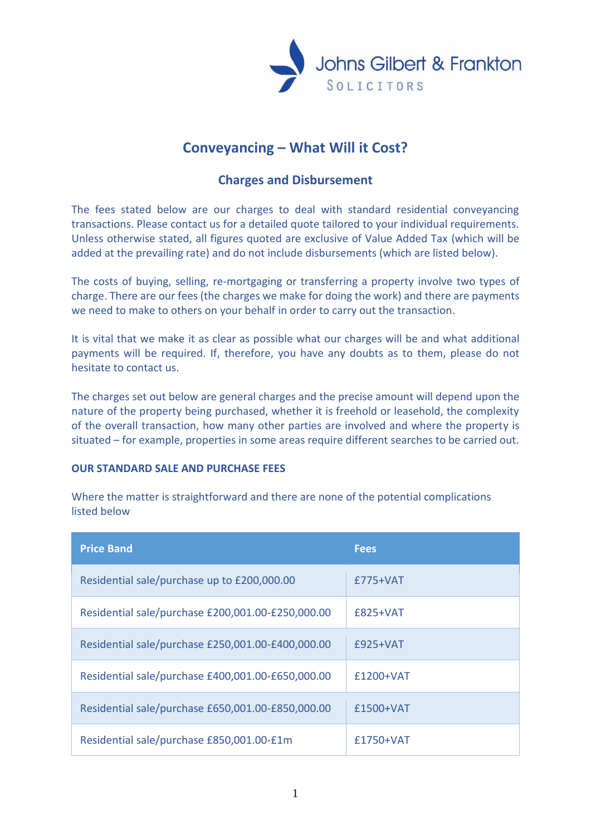

# **Conveyancing – What Will it Cost?**

# **Charges and Disbursement**

The fees stated below are our charges to deal with standard residential conveyancing transactions. Please contact us for a detailed quote tailored to your individual requirements. Unless otherwise stated, all figures quoted are exclusive of Value Added Tax (which will be added at the prevailing rate) and do not include disbursements (which are listed below).

The costs of buying, selling, re-mortgaging or transferring a property involve two types of charge. There are our fees (the charges we make for doing the work) and there are payments we need to make to others on your behalf in order to carry out the transaction.

It is vital that we make it as clear as possible what our charges will be and what additional payments will be required. If, therefore, you have any doubts as to them, please do not hesitate to contact us.

The charges set out below are general charges and the precise amount will depend upon the nature of the property being purchased, whether it is freehold or leasehold, the complexity of the overall transaction, how many other parties are involved and where the property is situated – for example, properties in some areas require different searches to be carried out.

#### **OUR STANDARD SALE AND PURCHASE FEES**

Where the matter is straightforward and there are none of the potential complications listed below

| <b>Price Band</b>                                 | <b>Fees</b> |
|---------------------------------------------------|-------------|
| Residential sale/purchase up to £200,000.00       | $£775+VAT$  |
| Residential sale/purchase £200,001.00-£250,000.00 | $£825+VAT$  |
| Residential sale/purchase £250,001.00-£400,000.00 | $£925+VAT$  |
| Residential sale/purchase £400,001.00-£650,000.00 | £1200+VAT   |
| Residential sale/purchase £650,001.00-£850,000.00 | $£1500+VAT$ |
| Residential sale/purchase £850,001.00-£1m         | $£1750+VAT$ |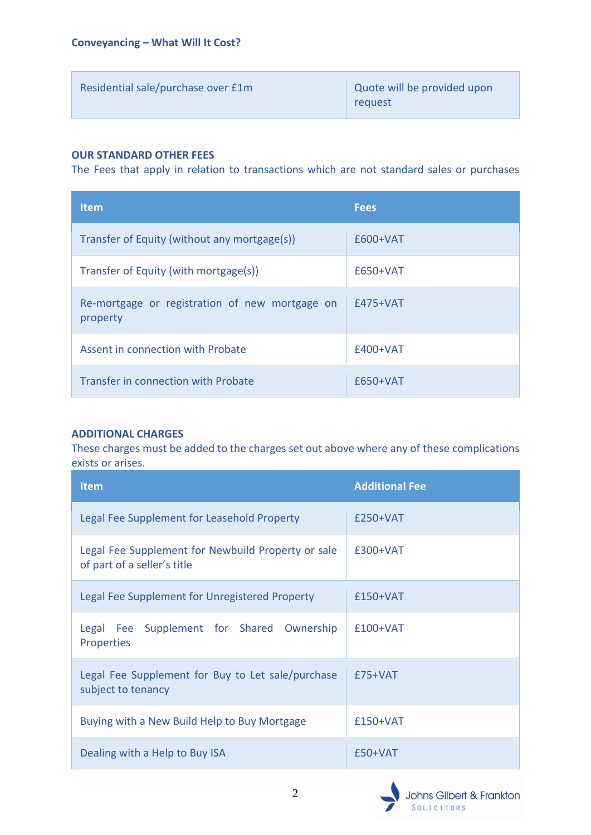| Residential sale/purchase over £1m | Quote will be provided upon<br>request |
|------------------------------------|----------------------------------------|
|                                    |                                        |

# **OUR STANDARD OTHER FEES**

The Fees that apply in relation to transactions which are not standard sales or purchases

| <b>Item</b>                                                | <b>Fees</b> |
|------------------------------------------------------------|-------------|
| Transfer of Equity (without any mortgage(s))               | £600+VAT    |
| Transfer of Equity (with mortgage(s))                      | £650+VAT    |
| Re-mortgage or registration of new mortgage on<br>property | $£475+VAT$  |
| Assent in connection with Probate                          | £400+VAT    |
| Transfer in connection with Probate                        | $£650+VAT$  |

# **ADDITIONAL CHARGES**

These charges must be added to the charges set out above where any of these complications exists or arises.

| <b>Item</b>                                                                       | <b>Additional Fee</b> |
|-----------------------------------------------------------------------------------|-----------------------|
| Legal Fee Supplement for Leasehold Property                                       | £250+VAT              |
| Legal Fee Supplement for Newbuild Property or sale<br>of part of a seller's title | £300+VAT              |
| Legal Fee Supplement for Unregistered Property                                    | £150+VAT              |
| Legal Fee Supplement for Shared Ownership<br><b>Properties</b>                    | £100+VAT              |
| Legal Fee Supplement for Buy to Let sale/purchase<br>subject to tenancy           | £75+VAT               |
| Buying with a New Build Help to Buy Mortgage                                      | $£150+VAT$            |
| Dealing with a Help to Buy ISA                                                    | $£50+VAT$             |

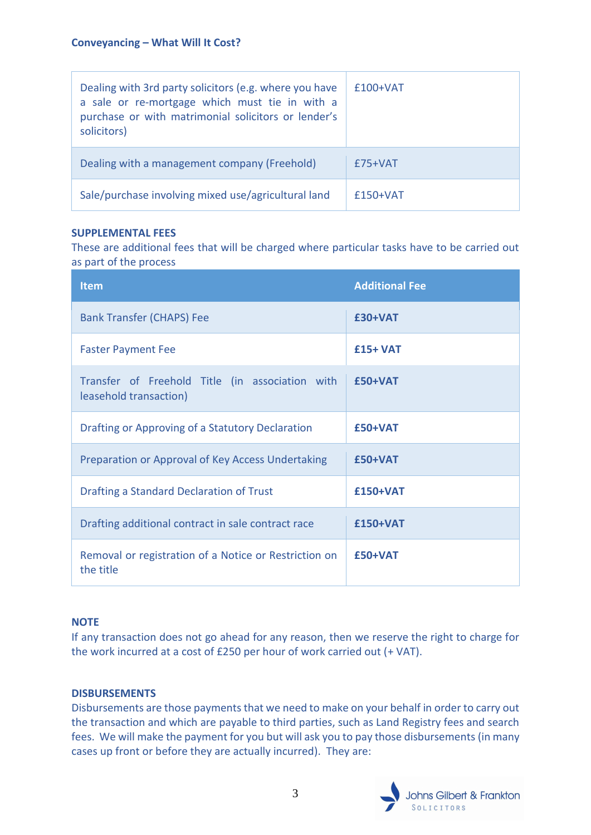| Dealing with 3rd party solicitors (e.g. where you have<br>a sale or re-mortgage which must tie in with a<br>purchase or with matrimonial solicitors or lender's<br>solicitors) | $£100+VAT$ |
|--------------------------------------------------------------------------------------------------------------------------------------------------------------------------------|------------|
| Dealing with a management company (Freehold)                                                                                                                                   | $£75+VAT$  |
| Sale/purchase involving mixed use/agricultural land                                                                                                                            | $£150+VAT$ |

## **SUPPLEMENTAL FEES**

These are additional fees that will be charged where particular tasks have to be carried out as part of the process

| <b>Item</b>                                                               | <b>Additional Fee</b> |
|---------------------------------------------------------------------------|-----------------------|
| <b>Bank Transfer (CHAPS) Fee</b>                                          | $£30+VAT$             |
| <b>Faster Payment Fee</b>                                                 | $£15+VAT$             |
| Transfer of Freehold Title (in association with<br>leasehold transaction) | $£50+VAT$             |
| Drafting or Approving of a Statutory Declaration                          | $£50+VAT$             |
| Preparation or Approval of Key Access Undertaking                         | £50+VAT               |
| Drafting a Standard Declaration of Trust                                  | £150+VAT              |
| Drafting additional contract in sale contract race                        | £150+VAT              |
| Removal or registration of a Notice or Restriction on<br>the title        | £50+VAT               |

# **NOTE**

If any transaction does not go ahead for any reason, then we reserve the right to charge for the work incurred at a cost of £250 per hour of work carried out (+ VAT).

#### **DISBURSEMENTS**

Disbursements are those payments that we need to make on your behalf in order to carry out the transaction and which are payable to third parties, such as Land Registry fees and search fees. We will make the payment for you but will ask you to pay those disbursements (in many cases up front or before they are actually incurred). They are:

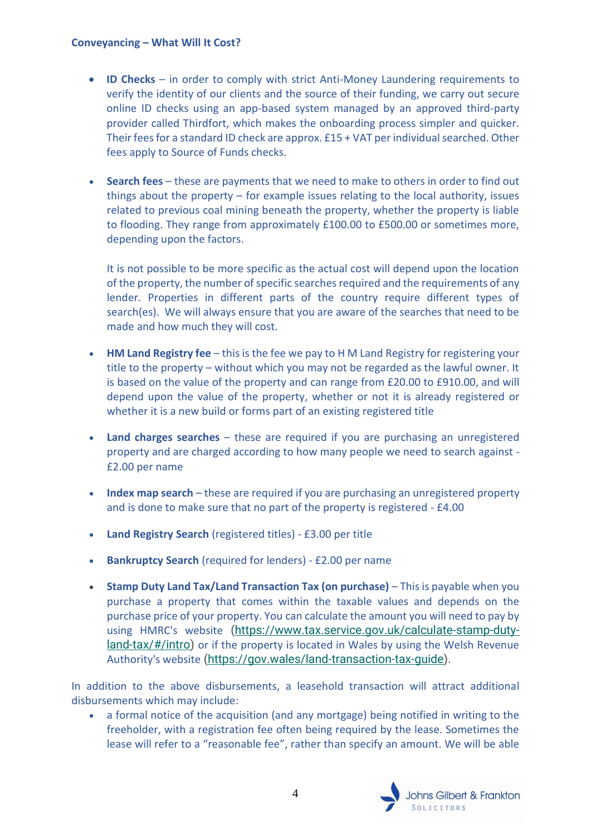#### **Conveyancing – What Will It Cost?**

- **ID Checks** in order to comply with strict Anti-Money Laundering requirements to verify the identity of our clients and the source of their funding, we carry out secure online ID checks using an app-based system managed by an approved third-party provider called Thirdfort, which makes the onboarding process simpler and quicker. Their fees for a standard ID check are approx. £15 + VAT per individualsearched. Other fees apply to Source of Funds checks.
- **Search fees** these are payments that we need to make to others in order to find out things about the property – for example issues relating to the local authority, issues related to previous coal mining beneath the property, whether the property is liable to flooding. They range from approximately £100.00 to £500.00 or sometimes more, depending upon the factors.

It is not possible to be more specific as the actual cost will depend upon the location of the property, the number of specific searches required and the requirements of any lender. Properties in different parts of the country require different types of search(es). We will always ensure that you are aware of the searches that need to be made and how much they will cost.

- **HM Land Registry fee** this is the fee we pay to H M Land Registry for registering your title to the property – without which you may not be regarded as the lawful owner. It is based on the value of the property and can range from £20.00 to £910.00, and will depend upon the value of the property, whether or not it is already registered or whether it is a new build or forms part of an existing registered title
- **Land charges searches** these are required if you are purchasing an unregistered property and are charged according to how many people we need to search against - £2.00 per name
- **Index map search** these are required if you are purchasing an unregistered property and is done to make sure that no part of the property is registered - £4.00
- **Land Registry Search** (registered titles) £3.00 per title
- **Bankruptcy Search** (required for lenders) £2.00 per name
- **Stamp Duty Land Tax/Land Transaction Tax (on purchase)** This is payable when you purchase a property that comes within the taxable values and depends on the purchase price of your property. You can calculate the amount you will need to pay by using HMRC's website [\(https://www.tax.service.gov.uk/calculate-stamp-duty](https://www.tax.service.gov.uk/calculate-stamp-duty-land-tax/#/intro)[land-tax/#/intro\)](https://www.tax.service.gov.uk/calculate-stamp-duty-land-tax/#/intro) or if the property is located in Wales by using the Welsh Revenue Authority's website [\(https://gov.wales/land-transaction-tax-guide\)](https://gov.wales/land-transaction-tax-guide).

In addition to the above disbursements, a leasehold transaction will attract additional disbursements which may include:

• a formal notice of the acquisition (and any mortgage) being notified in writing to the freeholder, with a registration fee often being required by the lease. Sometimes the lease will refer to a "reasonable fee", rather than specify an amount. We will be able

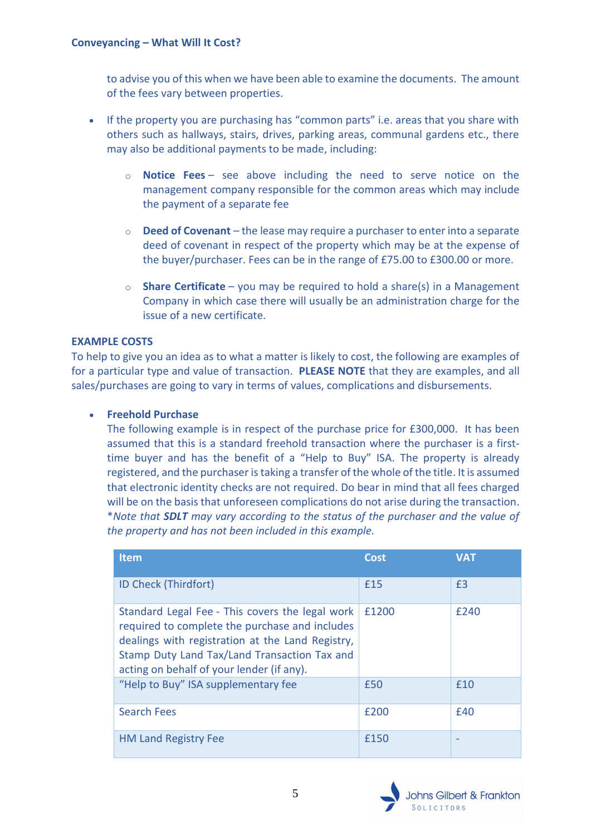to advise you of this when we have been able to examine the documents. The amount of the fees vary between properties.

- If the property you are purchasing has "common parts" i.e. areas that you share with others such as hallways, stairs, drives, parking areas, communal gardens etc., there may also be additional payments to be made, including:
	- o **Notice Fees** see above including the need to serve notice on the management company responsible for the common areas which may include the payment of a separate fee
	- o **Deed of Covenant** the lease may require a purchaser to enter into a separate deed of covenant in respect of the property which may be at the expense of the buyer/purchaser. Fees can be in the range of £75.00 to £300.00 or more.
	- o **Share Certificate** you may be required to hold a share(s) in a Management Company in which case there will usually be an administration charge for the issue of a new certificate.

## **EXAMPLE COSTS**

To help to give you an idea as to what a matter is likely to cost, the following are examples of for a particular type and value of transaction. **PLEASE NOTE** that they are examples, and all sales/purchases are going to vary in terms of values, complications and disbursements.

## • **Freehold Purchase**

The following example is in respect of the purchase price for £300,000. It has been assumed that this is a standard freehold transaction where the purchaser is a firsttime buyer and has the benefit of a "Help to Buy" ISA. The property is already registered, and the purchaser is taking a transfer of the whole of the title. It is assumed that electronic identity checks are not required. Do bear in mind that all fees charged will be on the basis that unforeseen complications do not arise during the transaction. \**Note that SDLT may vary according to the status of the purchaser and the value of the property and has not been included in this example.*

| <b>Item</b>                                                                                                                                                                                                                                        | Cost  | <b>VAT</b> |
|----------------------------------------------------------------------------------------------------------------------------------------------------------------------------------------------------------------------------------------------------|-------|------------|
| ID Check (Thirdfort)                                                                                                                                                                                                                               | £15   | £3         |
| Standard Legal Fee - This covers the legal work<br>required to complete the purchase and includes<br>dealings with registration at the Land Registry,<br>Stamp Duty Land Tax/Land Transaction Tax and<br>acting on behalf of your lender (if any). | £1200 | £240       |
| "Help to Buy" ISA supplementary fee                                                                                                                                                                                                                | £50   | £10        |
| <b>Search Fees</b>                                                                                                                                                                                                                                 | £200  | £40        |
| <b>HM Land Registry Fee</b>                                                                                                                                                                                                                        | £150  |            |